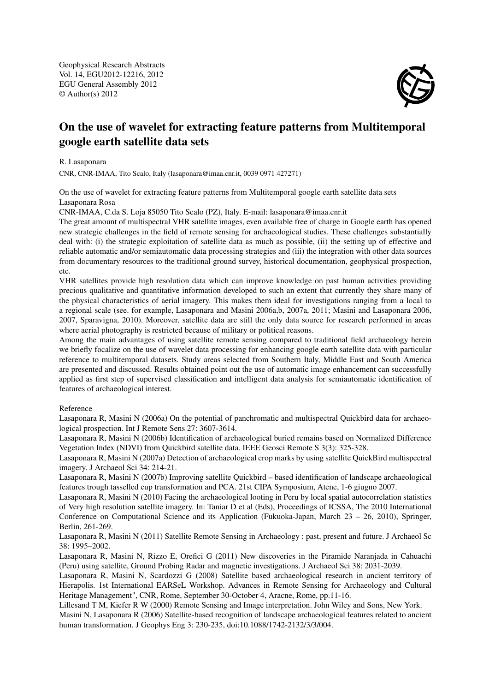Geophysical Research Abstracts Vol. 14, EGU2012-12216, 2012 EGU General Assembly 2012 © Author(s) 2012



## On the use of wavelet for extracting feature patterns from Multitemporal google earth satellite data sets

R. Lasaponara

CNR, CNR-IMAA, Tito Scalo, Italy (lasaponara@imaa.cnr.it, 0039 0971 427271)

On the use of wavelet for extracting feature patterns from Multitemporal google earth satellite data sets Lasaponara Rosa

CNR-IMAA, C.da S. Loja 85050 Tito Scalo (PZ), Italy. E-mail: lasaponara@imaa.cnr.it

The great amount of multispectral VHR satellite images, even available free of charge in Google earth has opened new strategic challenges in the field of remote sensing for archaeological studies. These challenges substantially deal with: (i) the strategic exploitation of satellite data as much as possible, (ii) the setting up of effective and reliable automatic and/or semiautomatic data processing strategies and (iii) the integration with other data sources from documentary resources to the traditional ground survey, historical documentation, geophysical prospection, etc.

VHR satellites provide high resolution data which can improve knowledge on past human activities providing precious qualitative and quantitative information developed to such an extent that currently they share many of the physical characteristics of aerial imagery. This makes them ideal for investigations ranging from a local to a regional scale (see. for example, Lasaponara and Masini 2006a,b, 2007a, 2011; Masini and Lasaponara 2006, 2007, Sparavigna, 2010). Moreover, satellite data are still the only data source for research performed in areas where aerial photography is restricted because of military or political reasons.

Among the main advantages of using satellite remote sensing compared to traditional field archaeology herein we briefly focalize on the use of wavelet data processing for enhancing google earth satellite data with particular reference to multitemporal datasets. Study areas selected from Southern Italy, Middle East and South America are presented and discussed. Results obtained point out the use of automatic image enhancement can successfully applied as first step of supervised classification and intelligent data analysis for semiautomatic identification of features of archaeological interest.

## Reference

Lasaponara R, Masini N (2006a) On the potential of panchromatic and multispectral Quickbird data for archaeological prospection. Int J Remote Sens 27: 3607-3614.

Lasaponara R, Masini N (2006b) Identification of archaeological buried remains based on Normalized Difference Vegetation Index (NDVI) from Quickbird satellite data. IEEE Geosci Remote S 3(3): 325-328.

Lasaponara R, Masini N (2007a) Detection of archaeological crop marks by using satellite QuickBird multispectral imagery. J Archaeol Sci 34: 214-21.

Lasaponara R, Masini N (2007b) Improving satellite Quickbird – based identification of landscape archaeological features trough tasselled cup transformation and PCA. 21st CIPA Symposium, Atene, 1-6 giugno 2007.

Lasaponara R, Masini N (2010) Facing the archaeological looting in Peru by local spatial autocorrelation statistics of Very high resolution satellite imagery. In: Taniar D et al (Eds), Proceedings of ICSSA, The 2010 International Conference on Computational Science and its Application (Fukuoka-Japan, March 23 – 26, 2010), Springer, Berlin, 261-269.

Lasaponara R, Masini N (2011) Satellite Remote Sensing in Archaeology : past, present and future. J Archaeol Sc 38: 1995–2002.

Lasaponara R, Masini N, Rizzo E, Orefici G (2011) New discoveries in the Piramide Naranjada in Cahuachi (Peru) using satellite, Ground Probing Radar and magnetic investigations. J Archaeol Sci 38: 2031-2039.

Lasaponara R, Masini N, Scardozzi G (2008) Satellite based archaeological research in ancient territory of Hierapolis. 1st International EARSeL Workshop. Advances in Remote Sensing for Archaeology and Cultural Heritage Management", CNR, Rome, September 30-October 4, Aracne, Rome, pp.11-16.

Lillesand T M, Kiefer R W (2000) Remote Sensing and Image interpretation. John Wiley and Sons, New York.

Masini N, Lasaponara R (2006) Satellite-based recognition of landscape archaeological features related to ancient human transformation. J Geophys Eng 3: 230-235, doi:10.1088/1742-2132/3/3/004.